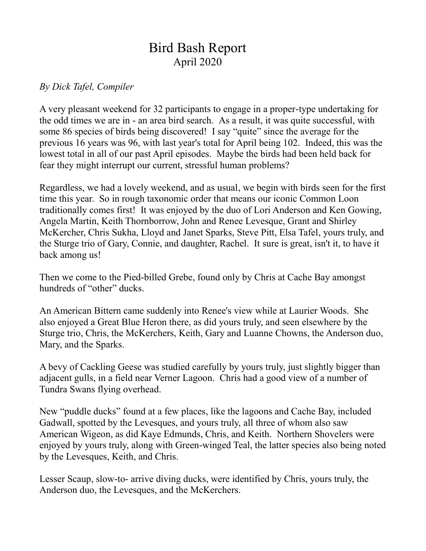## Bird Bash Report April 2020

## *By Dick Tafel, Compiler*

A very pleasant weekend for 32 participants to engage in a proper-type undertaking for the odd times we are in - an area bird search. As a result, it was quite successful, with some 86 species of birds being discovered! I say "quite" since the average for the previous 16 years was 96, with last year's total for April being 102. Indeed, this was the lowest total in all of our past April episodes. Maybe the birds had been held back for fear they might interrupt our current, stressful human problems?

Regardless, we had a lovely weekend, and as usual, we begin with birds seen for the first time this year. So in rough taxonomic order that means our iconic Common Loon traditionally comes first! It was enjoyed by the duo of Lori Anderson and Ken Gowing, Angela Martin, Keith Thornborrow, John and Renee Levesque, Grant and Shirley McKercher, Chris Sukha, Lloyd and Janet Sparks, Steve Pitt, Elsa Tafel, yours truly, and the Sturge trio of Gary, Connie, and daughter, Rachel. It sure is great, isn't it, to have it back among us!

Then we come to the Pied-billed Grebe, found only by Chris at Cache Bay amongst hundreds of "other" ducks.

An American Bittern came suddenly into Renee's view while at Laurier Woods. She also enjoyed a Great Blue Heron there, as did yours truly, and seen elsewhere by the Sturge trio, Chris, the McKerchers, Keith, Gary and Luanne Chowns, the Anderson duo, Mary, and the Sparks.

A bevy of Cackling Geese was studied carefully by yours truly, just slightly bigger than adjacent gulls, in a field near Verner Lagoon. Chris had a good view of a number of Tundra Swans flying overhead.

New "puddle ducks" found at a few places, like the lagoons and Cache Bay, included Gadwall, spotted by the Levesques, and yours truly, all three of whom also saw American Wigeon, as did Kaye Edmunds, Chris, and Keith. Northern Shovelers were enjoyed by yours truly, along with Green-winged Teal, the latter species also being noted by the Levesques, Keith, and Chris.

Lesser Scaup, slow-to- arrive diving ducks, were identified by Chris, yours truly, the Anderson duo, the Levesques, and the McKerchers.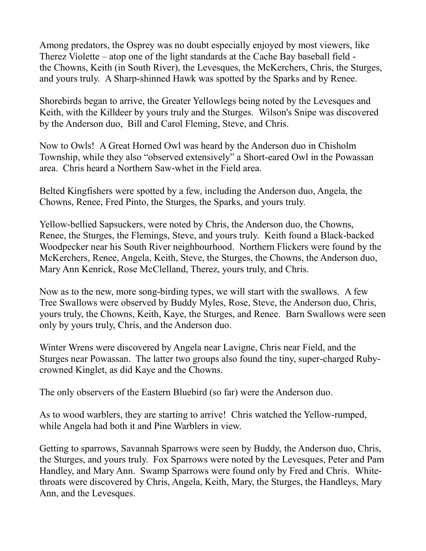Among predators, the Osprey was no doubt especially enjoyed by most viewers, like Therez Violette – atop one of the light standards at the Cache Bay baseball field the Chowns, Keith (in South River), the Levesques, the McKerchers, Chris, the Sturges, and yours truly. A Sharp-shinned Hawk was spotted by the Sparks and by Renee.

Shorebirds began to arrive, the Greater Yellowlegs being noted by the Levesques and Keith, with the Killdeer by yours truly and the Sturges. Wilson's Snipe was discovered by the Anderson duo, Bill and Carol Fleming, Steve, and Chris.

Now to Owls! A Great Horned Owl was heard by the Anderson duo in Chisholm Township, while they also "observed extensively" a Short-eared Owl in the Powassan area. Chris heard a Northern Saw-whet in the Field area.

Belted Kingfishers were spotted by a few, including the Anderson duo, Angela, the Chowns, Renee, Fred Pinto, the Sturges, the Sparks, and yours truly.

Yellow-bellied Sapsuckers, were noted by Chris, the Anderson duo, the Chowns, Renee, the Sturges, the Flemings, Steve, and yours truly. Keith found a Black-backed Woodpecker near his South River neighbourhood. Northern Flickers were found by the McKerchers, Renee, Angela, Keith, Steve, the Sturges, the Chowns, the Anderson duo, Mary Ann Kenrick, Rose McClelland, Therez, yours truly, and Chris.

Now as to the new, more song-birding types, we will start with the swallows. A few Tree Swallows were observed by Buddy Myles, Rose, Steve, the Anderson duo, Chris, yours truly, the Chowns, Keith, Kaye, the Sturges, and Renee. Barn Swallows were seen only by yours truly, Chris, and the Anderson duo.

Winter Wrens were discovered by Angela near Lavigne, Chris near Field, and the Sturges near Powassan. The latter two groups also found the tiny, super-charged Rubycrowned Kinglet, as did Kaye and the Chowns.

The only observers of the Eastern Bluebird (so far) were the Anderson duo.

As to wood warblers, they are starting to arrive! Chris watched the Yellow-rumped, while Angela had both it and Pine Warblers in view.

Getting to sparrows, Savannah Sparrows were seen by Buddy, the Anderson duo, Chris, the Sturges, and yours truly. Fox Sparrows were noted by the Levesques, Peter and Pam Handley, and Mary Ann. Swamp Sparrows were found only by Fred and Chris. Whitethroats were discovered by Chris, Angela, Keith, Mary, the Sturges, the Handleys, Mary Ann, and the Levesques.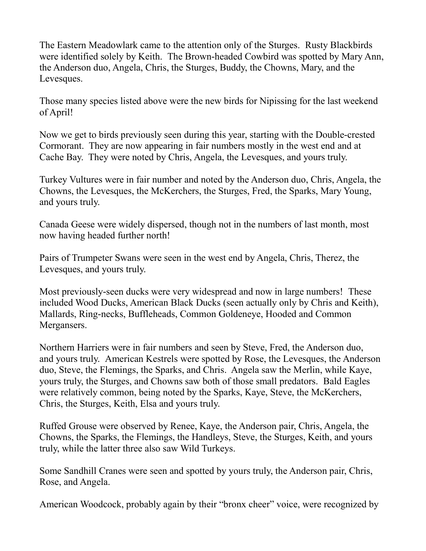The Eastern Meadowlark came to the attention only of the Sturges. Rusty Blackbirds were identified solely by Keith. The Brown-headed Cowbird was spotted by Mary Ann, the Anderson duo, Angela, Chris, the Sturges, Buddy, the Chowns, Mary, and the Levesques.

Those many species listed above were the new birds for Nipissing for the last weekend of April!

Now we get to birds previously seen during this year, starting with the Double-crested Cormorant. They are now appearing in fair numbers mostly in the west end and at Cache Bay. They were noted by Chris, Angela, the Levesques, and yours truly.

Turkey Vultures were in fair number and noted by the Anderson duo, Chris, Angela, the Chowns, the Levesques, the McKerchers, the Sturges, Fred, the Sparks, Mary Young, and yours truly.

Canada Geese were widely dispersed, though not in the numbers of last month, most now having headed further north!

Pairs of Trumpeter Swans were seen in the west end by Angela, Chris, Therez, the Levesques, and yours truly.

Most previously-seen ducks were very widespread and now in large numbers! These included Wood Ducks, American Black Ducks (seen actually only by Chris and Keith), Mallards, Ring-necks, Buffleheads, Common Goldeneye, Hooded and Common Mergansers.

Northern Harriers were in fair numbers and seen by Steve, Fred, the Anderson duo, and yours truly. American Kestrels were spotted by Rose, the Levesques, the Anderson duo, Steve, the Flemings, the Sparks, and Chris. Angela saw the Merlin, while Kaye, yours truly, the Sturges, and Chowns saw both of those small predators. Bald Eagles were relatively common, being noted by the Sparks, Kaye, Steve, the McKerchers, Chris, the Sturges, Keith, Elsa and yours truly.

Ruffed Grouse were observed by Renee, Kaye, the Anderson pair, Chris, Angela, the Chowns, the Sparks, the Flemings, the Handleys, Steve, the Sturges, Keith, and yours truly, while the latter three also saw Wild Turkeys.

Some Sandhill Cranes were seen and spotted by yours truly, the Anderson pair, Chris, Rose, and Angela.

American Woodcock, probably again by their "bronx cheer" voice, were recognized by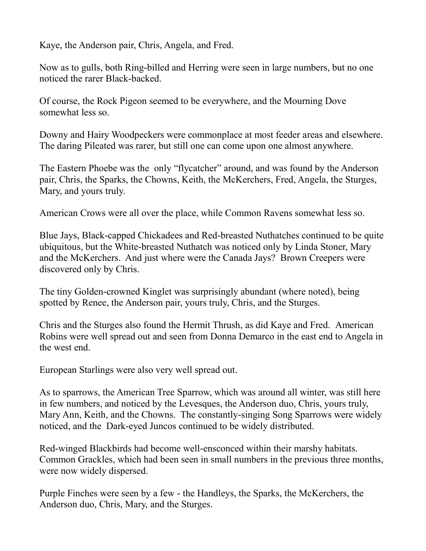Kaye, the Anderson pair, Chris, Angela, and Fred.

Now as to gulls, both Ring-billed and Herring were seen in large numbers, but no one noticed the rarer Black-backed.

Of course, the Rock Pigeon seemed to be everywhere, and the Mourning Dove somewhat less so.

Downy and Hairy Woodpeckers were commonplace at most feeder areas and elsewhere. The daring Pileated was rarer, but still one can come upon one almost anywhere.

The Eastern Phoebe was the only "flycatcher" around, and was found by the Anderson pair, Chris, the Sparks, the Chowns, Keith, the McKerchers, Fred, Angela, the Sturges, Mary, and yours truly.

American Crows were all over the place, while Common Ravens somewhat less so.

Blue Jays, Black-capped Chickadees and Red-breasted Nuthatches continued to be quite ubiquitous, but the White-breasted Nuthatch was noticed only by Linda Stoner, Mary and the McKerchers. And just where were the Canada Jays? Brown Creepers were discovered only by Chris.

The tiny Golden-crowned Kinglet was surprisingly abundant (where noted), being spotted by Renee, the Anderson pair, yours truly, Chris, and the Sturges.

Chris and the Sturges also found the Hermit Thrush, as did Kaye and Fred. American Robins were well spread out and seen from Donna Demarco in the east end to Angela in the west end.

European Starlings were also very well spread out.

As to sparrows, the American Tree Sparrow, which was around all winter, was still here in few numbers, and noticed by the Levesques, the Anderson duo, Chris, yours truly, Mary Ann, Keith, and the Chowns. The constantly-singing Song Sparrows were widely noticed, and the Dark-eyed Juncos continued to be widely distributed.

Red-winged Blackbirds had become well-ensconced within their marshy habitats. Common Grackles, which had been seen in small numbers in the previous three months, were now widely dispersed.

Purple Finches were seen by a few - the Handleys, the Sparks, the McKerchers, the Anderson duo, Chris, Mary, and the Sturges.